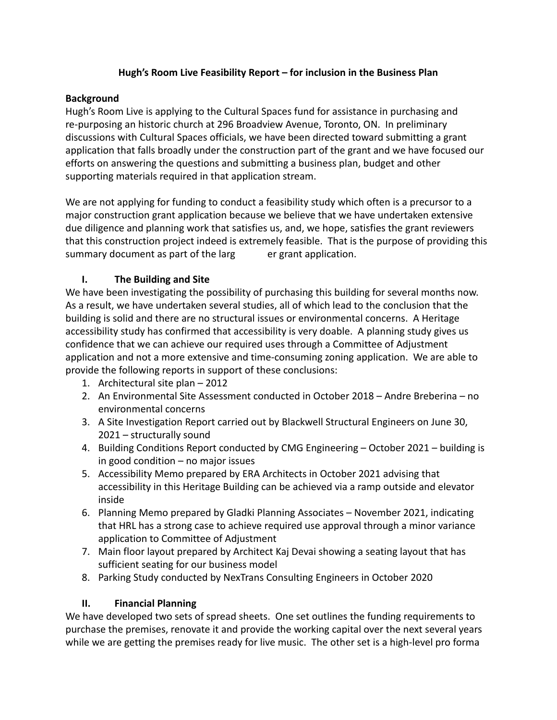## **Hugh's Room Live Feasibility Report – for inclusion in the Business Plan**

## **Background**

Hugh's Room Live is applying to the Cultural Spaces fund for assistance in purchasing and re-purposing an historic church at 296 Broadview Avenue, Toronto, ON. In preliminary discussions with Cultural Spaces officials, we have been directed toward submitting a grant application that falls broadly under the construction part of the grant and we have focused our efforts on answering the questions and submitting a business plan, budget and other supporting materials required in that application stream.

We are not applying for funding to conduct a feasibility study which often is a precursor to a major construction grant application because we believe that we have undertaken extensive due diligence and planning work that satisfies us, and, we hope, satisfies the grant reviewers that this construction project indeed is extremely feasible. That is the purpose of providing this summary document as part of the larg er grant application.

## **I. The Building and Site**

We have been investigating the possibility of purchasing this building for several months now. As a result, we have undertaken several studies, all of which lead to the conclusion that the building is solid and there are no structural issues or environmental concerns. A Heritage accessibility study has confirmed that accessibility is very doable. A planning study gives us confidence that we can achieve our required uses through a Committee of Adjustment application and not a more extensive and time-consuming zoning application. We are able to provide the following reports in support of these conclusions:

- 1. Architectural site plan 2012
- 2. An Environmental Site Assessment conducted in October 2018 Andre Breberina no environmental concerns
- 3. A Site Investigation Report carried out by Blackwell Structural Engineers on June 30, 2021 – structurally sound
- 4. Building Conditions Report conducted by CMG Engineering October 2021 building is in good condition – no major issues
- 5. Accessibility Memo prepared by ERA Architects in October 2021 advising that accessibility in this Heritage Building can be achieved via a ramp outside and elevator inside
- 6. Planning Memo prepared by Gladki Planning Associates November 2021, indicating that HRL has a strong case to achieve required use approval through a minor variance application to Committee of Adjustment
- 7. Main floor layout prepared by Architect Kaj Devai showing a seating layout that has sufficient seating for our business model
- 8. Parking Study conducted by NexTrans Consulting Engineers in October 2020

## **II. Financial Planning**

We have developed two sets of spread sheets. One set outlines the funding requirements to purchase the premises, renovate it and provide the working capital over the next several years while we are getting the premises ready for live music. The other set is a high-level pro forma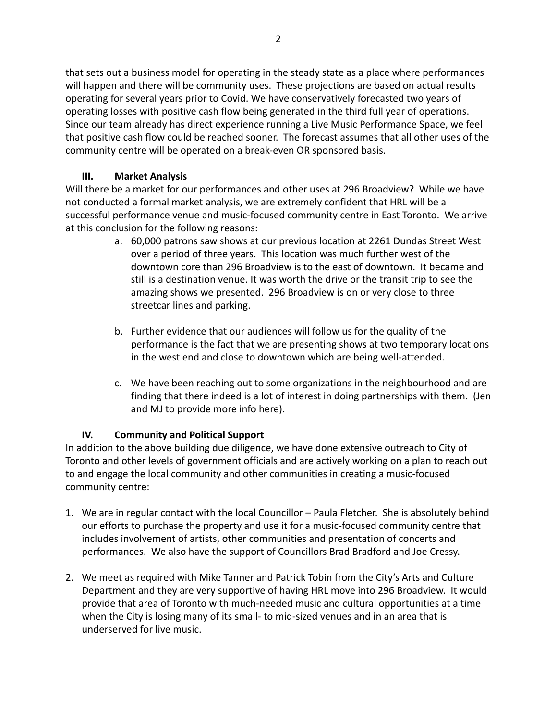that sets out a business model for operating in the steady state as a place where performances will happen and there will be community uses. These projections are based on actual results operating for several years prior to Covid. We have conservatively forecasted two years of operating losses with positive cash flow being generated in the third full year of operations. Since our team already has direct experience running a Live Music Performance Space, we feel that positive cash flow could be reached sooner. The forecast assumes that all other uses of the community centre will be operated on a break-even OR sponsored basis.

## **III. Market Analysis**

Will there be a market for our performances and other uses at 296 Broadview? While we have not conducted a formal market analysis, we are extremely confident that HRL will be a successful performance venue and music-focused community centre in East Toronto. We arrive at this conclusion for the following reasons:

- a. 60,000 patrons saw shows at our previous location at 2261 Dundas Street West over a period of three years. This location was much further west of the downtown core than 296 Broadview is to the east of downtown. It became and still is a destination venue. It was worth the drive or the transit trip to see the amazing shows we presented. 296 Broadview is on or very close to three streetcar lines and parking.
- b. Further evidence that our audiences will follow us for the quality of the performance is the fact that we are presenting shows at two temporary locations in the west end and close to downtown which are being well-attended.
- c. We have been reaching out to some organizations in the neighbourhood and are finding that there indeed is a lot of interest in doing partnerships with them. (Jen and MJ to provide more info here).

## **IV. Community and Political Support**

In addition to the above building due diligence, we have done extensive outreach to City of Toronto and other levels of government officials and are actively working on a plan to reach out to and engage the local community and other communities in creating a music-focused community centre:

- 1. We are in regular contact with the local Councillor Paula Fletcher. She is absolutely behind our efforts to purchase the property and use it for a music-focused community centre that includes involvement of artists, other communities and presentation of concerts and performances. We also have the support of Councillors Brad Bradford and Joe Cressy.
- 2. We meet as required with Mike Tanner and Patrick Tobin from the City's Arts and Culture Department and they are very supportive of having HRL move into 296 Broadview. It would provide that area of Toronto with much-needed music and cultural opportunities at a time when the City is losing many of its small- to mid-sized venues and in an area that is underserved for live music.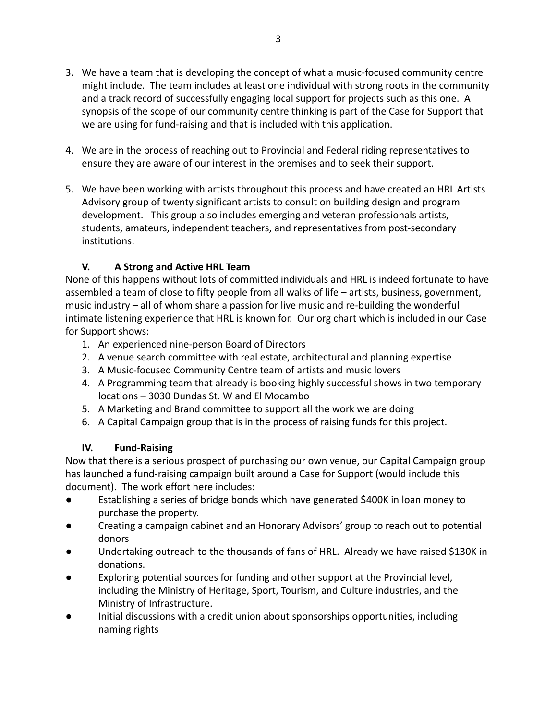- 3. We have a team that is developing the concept of what a music-focused community centre might include. The team includes at least one individual with strong roots in the community and a track record of successfully engaging local support for projects such as this one. A synopsis of the scope of our community centre thinking is part of the Case for Support that we are using for fund-raising and that is included with this application.
- 4. We are in the process of reaching out to Provincial and Federal riding representatives to ensure they are aware of our interest in the premises and to seek their support.
- 5. We have been working with artists throughout this process and have created an HRL Artists Advisory group of twenty significant artists to consult on building design and program development. This group also includes emerging and veteran professionals artists, students, amateurs, independent teachers, and representatives from post-secondary institutions.

# **V. A Strong and Active HRL Team**

None of this happens without lots of committed individuals and HRL is indeed fortunate to have assembled a team of close to fifty people from all walks of life – artists, business, government, music industry – all of whom share a passion for live music and re-building the wonderful intimate listening experience that HRL is known for. Our org chart which is included in our Case for Support shows:

- 1. An experienced nine-person Board of Directors
- 2. A venue search committee with real estate, architectural and planning expertise
- 3. A Music-focused Community Centre team of artists and music lovers
- 4. A Programming team that already is booking highly successful shows in two temporary locations – 3030 Dundas St. W and El Mocambo
- 5. A Marketing and Brand committee to support all the work we are doing
- 6. A Capital Campaign group that is in the process of raising funds for this project.

## **IV. Fund-Raising**

Now that there is a serious prospect of purchasing our own venue, our Capital Campaign group has launched a fund-raising campaign built around a Case for Support (would include this document). The work effort here includes:

- Establishing a series of bridge bonds which have generated \$400K in loan money to purchase the property.
- Creating a campaign cabinet and an Honorary Advisors' group to reach out to potential donors
- Undertaking outreach to the thousands of fans of HRL. Already we have raised \$130K in donations.
- Exploring potential sources for funding and other support at the Provincial level, including the Ministry of Heritage, Sport, Tourism, and Culture industries, and the Ministry of Infrastructure.
- Initial discussions with a credit union about sponsorships opportunities, including naming rights